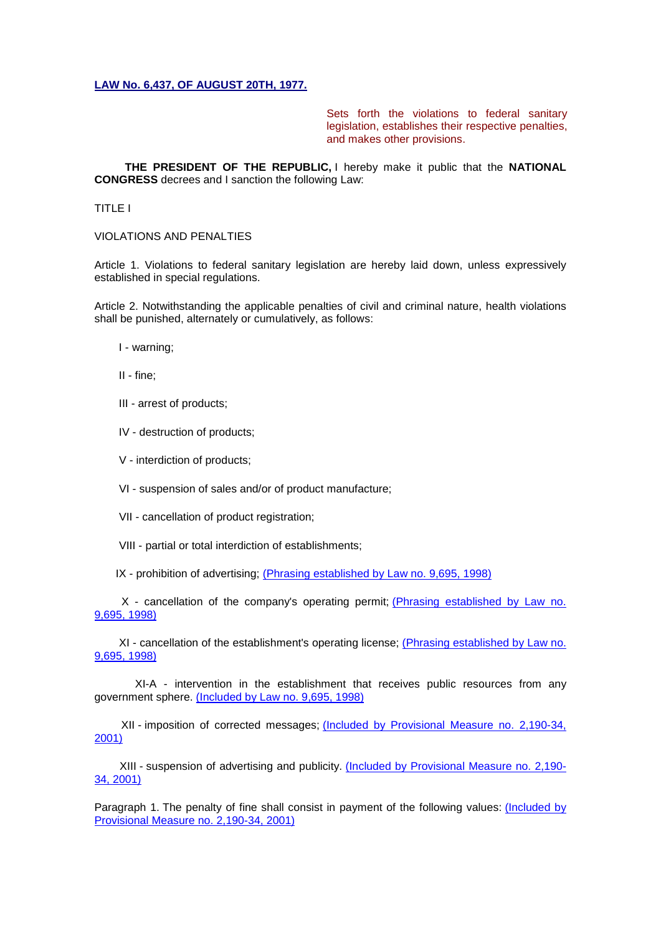## **[LAW No. 6,437, OF AUGUST 20TH, 1977.](http://legislacao.planalto.gov.br/legisla/legislacao.nsf/Viw_Identificacao/lei%206.437-1977?OpenDocument)**

Sets forth the violations to federal sanitary legislation, establishes their respective penalties, and makes other provisions.

 **THE PRESIDENT OF THE REPUBLIC,** I hereby make it public that the **NATIONAL CONGRESS** decrees and I sanction the following Law:

TITLE I

VIOLATIONS AND PENALTIES

Article 1. Violations to federal sanitary legislation are hereby laid down, unless expressively established in special regulations.

Article 2. Notwithstanding the applicable penalties of civil and criminal nature, health violations shall be punished, alternately or cumulatively, as follows:

I - warning;

II - fine;

III - arrest of products;

IV - destruction of products;

V - interdiction of products;

VI - suspension of sales and/or of product manufacture;

VII - cancellation of product registration;

VIII - partial or total interdiction of establishments;

IX - prohibition of advertising; [\(Phrasing established by Law no. 9,695, 1998\)](http://www.planalto.gov.br/ccivil_03/leis/L9695.htm%23art2)

 X - cancellation of the company's operating permit; [\(Phrasing established by Law no.](http://www.planalto.gov.br/ccivil_03/leis/L9695.htm%23art2)  [9,695, 1998\)](http://www.planalto.gov.br/ccivil_03/leis/L9695.htm%23art2)

 XI - cancellation of the establishment's operating license; [\(Phrasing established by Law no.](http://www.planalto.gov.br/ccivil_03/leis/L9695.htm%23art2)  [9,695, 1998\)](http://www.planalto.gov.br/ccivil_03/leis/L9695.htm%23art2)

XI-A - intervention in the establishment that receives public resources from any government sphere. [\(Included by Law no. 9,695, 1998\)](http://www.planalto.gov.br/ccivil_03/leis/L9695.htm%23art2)

 XII - imposition of corrected messages; [\(Included by Provisional Measure no. 2,190-34,](http://www.planalto.gov.br/ccivil_03/MPV/2190-34.htm%23art12)  [2001\)](http://www.planalto.gov.br/ccivil_03/MPV/2190-34.htm%23art12)

 XIII - suspension of advertising and publicity. [\(Included by Provisional Measure no. 2,190-](http://www.planalto.gov.br/ccivil_03/MPV/2190-34.htm%23art12) [34, 2001\)](http://www.planalto.gov.br/ccivil_03/MPV/2190-34.htm%23art12)

Paragraph 1. The penalty of fine shall consist in payment of the following values: (Included by [Provisional Measure no. 2,190-34, 2001\)](http://www.planalto.gov.br/ccivil_03/MPV/2190-34.htm%23art12)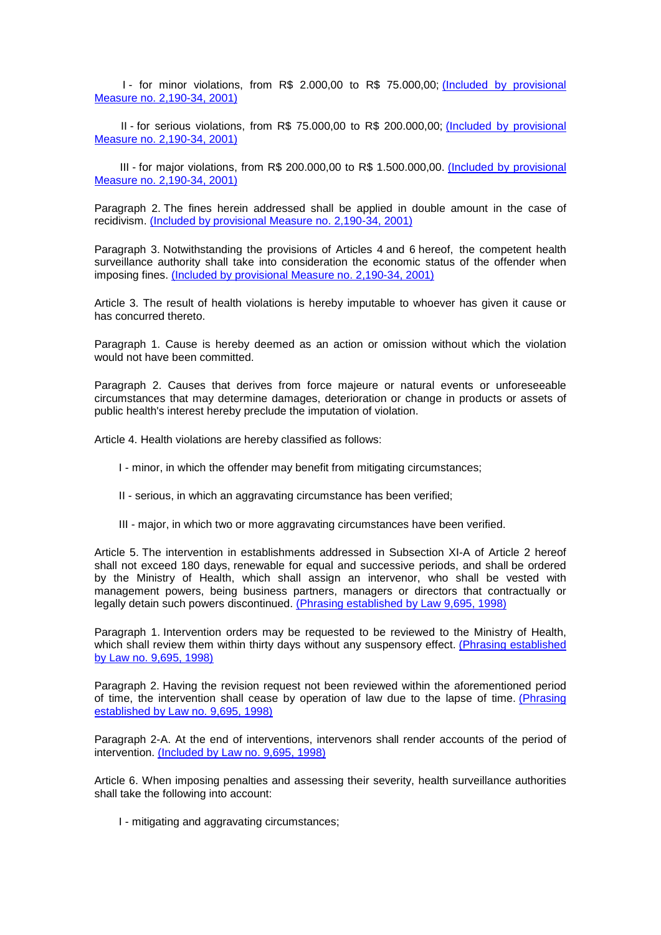I - for minor violations, from R\$ 2.000,00 to R\$ 75.000,00; [\(Included by provisional](http://www.planalto.gov.br/ccivil_03/MPV/2190-34.htm%23art12)  [Measure no. 2,190-34, 2001\)](http://www.planalto.gov.br/ccivil_03/MPV/2190-34.htm%23art12)

 II - for serious violations, from R\$ 75.000,00 to R\$ 200.000,00; [\(Included by provisional](http://www.planalto.gov.br/ccivil_03/MPV/2190-34.htm%23art12)  [Measure no. 2,190-34, 2001\)](http://www.planalto.gov.br/ccivil_03/MPV/2190-34.htm%23art12)

 III - for major violations, from R\$ 200.000,00 to R\$ 1.500.000,00. [\(Included by provisional](http://www.planalto.gov.br/ccivil_03/MPV/2190-34.htm%23art12)  [Measure no. 2,190-34, 2001\)](http://www.planalto.gov.br/ccivil_03/MPV/2190-34.htm%23art12)

Paragraph 2. The fines herein addressed shall be applied in double amount in the case of recidivism. [\(Included by provisional Measure no. 2,190-34, 2001\)](http://www.planalto.gov.br/ccivil_03/MPV/2190-34.htm%23art12)

Paragraph 3. Notwithstanding the provisions of Articles 4 and 6 hereof, the competent health surveillance authority shall take into consideration the economic status of the offender when imposing fines. [\(Included by provisional Measure no. 2,190-34, 2001\)](http://www.planalto.gov.br/ccivil_03/MPV/2190-34.htm%23art12)

Article 3. The result of health violations is hereby imputable to whoever has given it cause or has concurred thereto.

Paragraph 1. Cause is hereby deemed as an action or omission without which the violation would not have been committed.

Paragraph 2. Causes that derives from force majeure or natural events or unforeseeable circumstances that may determine damages, deterioration or change in products or assets of public health's interest hereby preclude the imputation of violation.

Article 4. Health violations are hereby classified as follows:

- I minor, in which the offender may benefit from mitigating circumstances;
- II serious, in which an aggravating circumstance has been verified;
- III major, in which two or more aggravating circumstances have been verified.

Article 5. The intervention in establishments addressed in Subsection XI-A of Article 2 hereof shall not exceed 180 days, renewable for equal and successive periods, and shall be ordered by the Ministry of Health, which shall assign an intervenor, who shall be vested with management powers, being business partners, managers or directors that contractually or legally detain such powers discontinued. [\(Phrasing established by Law 9,695, 1998\)](http://www.planalto.gov.br/ccivil_03/leis/L9695.htm%23art5)

Paragraph 1. Intervention orders may be requested to be reviewed to the Ministry of Health, which shall review them within thirty days without any suspensory effect. (Phrasing established [by Law no. 9,695, 1998\)](http://www.planalto.gov.br/ccivil_03/leis/L9695.htm%23art5)

Paragraph 2. Having the revision request not been reviewed within the aforementioned period of time, the intervention shall cease by operation of law due to the lapse of time. [\(Phrasing](http://www.planalto.gov.br/ccivil_03/leis/L9695.htm%23art5)  [established by Law no. 9,695, 1998\)](http://www.planalto.gov.br/ccivil_03/leis/L9695.htm%23art5)

Paragraph 2-A. At the end of interventions, intervenors shall render accounts of the period of intervention. [\(Included by Law no. 9,695, 1998\)](http://www.planalto.gov.br/ccivil_03/leis/L9695.htm%23art5)

Article 6. When imposing penalties and assessing their severity, health surveillance authorities shall take the following into account:

I - mitigating and aggravating circumstances;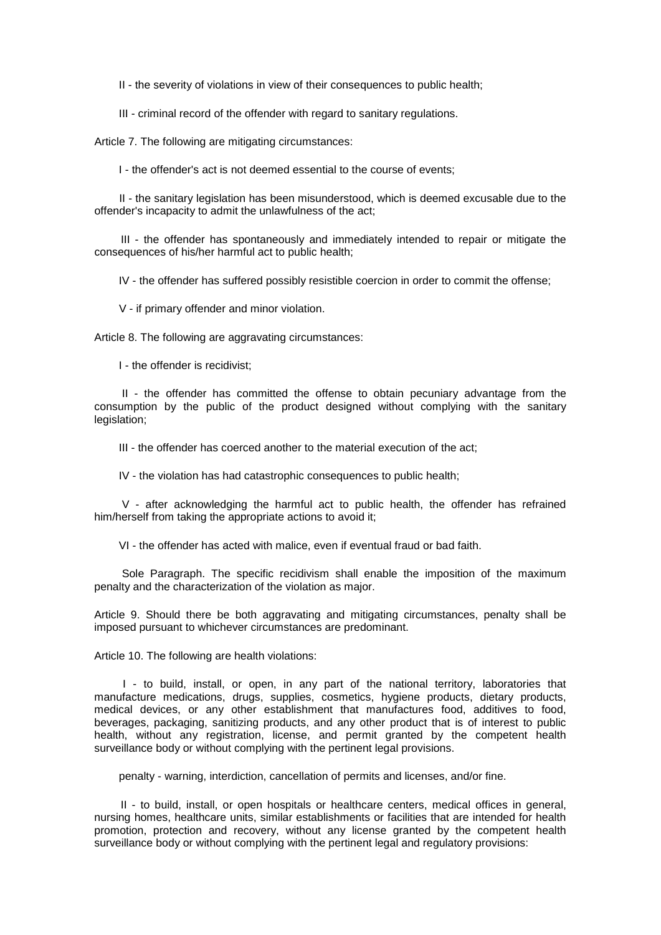II - the severity of violations in view of their consequences to public health;

III - criminal record of the offender with regard to sanitary regulations.

Article 7. The following are mitigating circumstances:

I - the offender's act is not deemed essential to the course of events;

 II - the sanitary legislation has been misunderstood, which is deemed excusable due to the offender's incapacity to admit the unlawfulness of the act;

 III - the offender has spontaneously and immediately intended to repair or mitigate the consequences of his/her harmful act to public health;

IV - the offender has suffered possibly resistible coercion in order to commit the offense;

V - if primary offender and minor violation.

Article 8. The following are aggravating circumstances:

I - the offender is recidivist;

 II - the offender has committed the offense to obtain pecuniary advantage from the consumption by the public of the product designed without complying with the sanitary legislation;

III - the offender has coerced another to the material execution of the act;

IV - the violation has had catastrophic consequences to public health;

 V - after acknowledging the harmful act to public health, the offender has refrained him/herself from taking the appropriate actions to avoid it;

VI - the offender has acted with malice, even if eventual fraud or bad faith.

 Sole Paragraph. The specific recidivism shall enable the imposition of the maximum penalty and the characterization of the violation as major.

Article 9. Should there be both aggravating and mitigating circumstances, penalty shall be imposed pursuant to whichever circumstances are predominant.

Article 10. The following are health violations:

 I - to build, install, or open, in any part of the national territory, laboratories that manufacture medications, drugs, supplies, cosmetics, hygiene products, dietary products, medical devices, or any other establishment that manufactures food, additives to food, beverages, packaging, sanitizing products, and any other product that is of interest to public health, without any registration, license, and permit granted by the competent health surveillance body or without complying with the pertinent legal provisions.

penalty - warning, interdiction, cancellation of permits and licenses, and/or fine.

 II - to build, install, or open hospitals or healthcare centers, medical offices in general, nursing homes, healthcare units, similar establishments or facilities that are intended for health promotion, protection and recovery, without any license granted by the competent health surveillance body or without complying with the pertinent legal and regulatory provisions: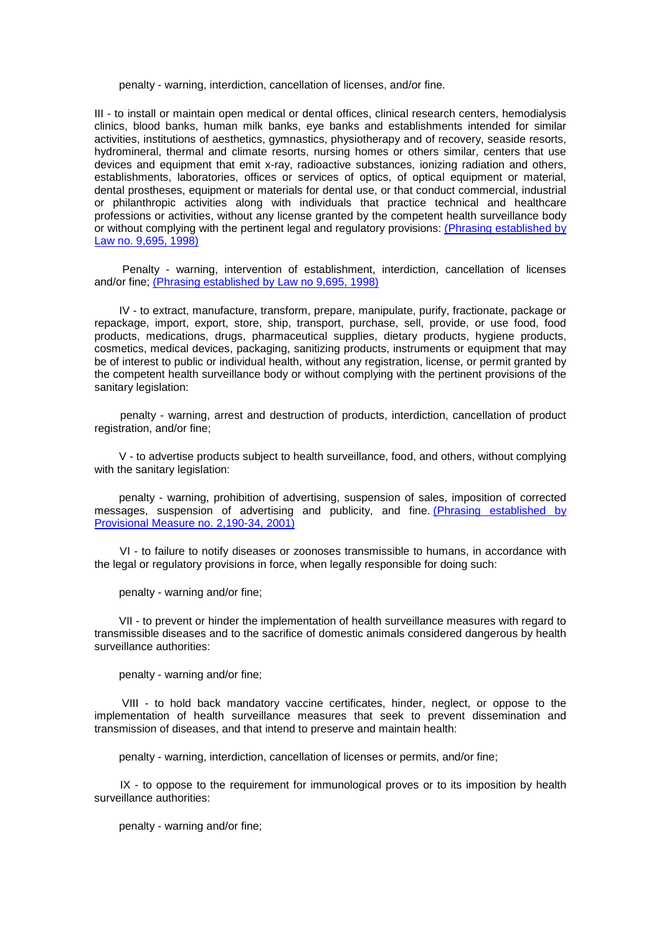penalty - warning, interdiction, cancellation of licenses, and/or fine.

III - to install or maintain open medical or dental offices, clinical research centers, hemodialysis clinics, blood banks, human milk banks, eye banks and establishments intended for similar activities, institutions of aesthetics, gymnastics, physiotherapy and of recovery, seaside resorts, hydromineral, thermal and climate resorts, nursing homes or others similar, centers that use devices and equipment that emit x-ray, radioactive substances, ionizing radiation and others, establishments, laboratories, offices or services of optics, of optical equipment or material, dental prostheses, equipment or materials for dental use, or that conduct commercial, industrial or philanthropic activities along with individuals that practice technical and healthcare professions or activities, without any license granted by the competent health surveillance body or without complying with the pertinent legal and regulatory provisions: [\(Phrasing established by](http://www.planalto.gov.br/ccivil_03/leis/L9695.htm%23art10)  [Law no. 9,695, 1998\)](http://www.planalto.gov.br/ccivil_03/leis/L9695.htm%23art10)

 Penalty - warning, intervention of establishment, interdiction, cancellation of licenses and/or fine; [\(Phrasing established by Law no 9,695, 1998\)](http://www.planalto.gov.br/ccivil_03/leis/L9695.htm%23art10)

 IV - to extract, manufacture, transform, prepare, manipulate, purify, fractionate, package or repackage, import, export, store, ship, transport, purchase, sell, provide, or use food, food products, medications, drugs, pharmaceutical supplies, dietary products, hygiene products, cosmetics, medical devices, packaging, sanitizing products, instruments or equipment that may be of interest to public or individual health, without any registration, license, or permit granted by the competent health surveillance body or without complying with the pertinent provisions of the sanitary legislation:

 penalty - warning, arrest and destruction of products, interdiction, cancellation of product registration, and/or fine;

 V - to advertise products subject to health surveillance, food, and others, without complying with the sanitary legislation:

 penalty - warning, prohibition of advertising, suspension of sales, imposition of corrected messages, suspension of advertising and publicity, and fine. [\(Phrasing established by](http://www.planalto.gov.br/ccivil_03/MPV/2190-34.htm%23art12)  [Provisional Measure no. 2,190-34, 2001\)](http://www.planalto.gov.br/ccivil_03/MPV/2190-34.htm%23art12)

 VI - to failure to notify diseases or zoonoses transmissible to humans, in accordance with the legal or regulatory provisions in force, when legally responsible for doing such:

penalty - warning and/or fine;

 VII - to prevent or hinder the implementation of health surveillance measures with regard to transmissible diseases and to the sacrifice of domestic animals considered dangerous by health surveillance authorities:

penalty - warning and/or fine;

 VIII - to hold back mandatory vaccine certificates, hinder, neglect, or oppose to the implementation of health surveillance measures that seek to prevent dissemination and transmission of diseases, and that intend to preserve and maintain health:

penalty - warning, interdiction, cancellation of licenses or permits, and/or fine;

 IX - to oppose to the requirement for immunological proves or to its imposition by health surveillance authorities:

penalty - warning and/or fine;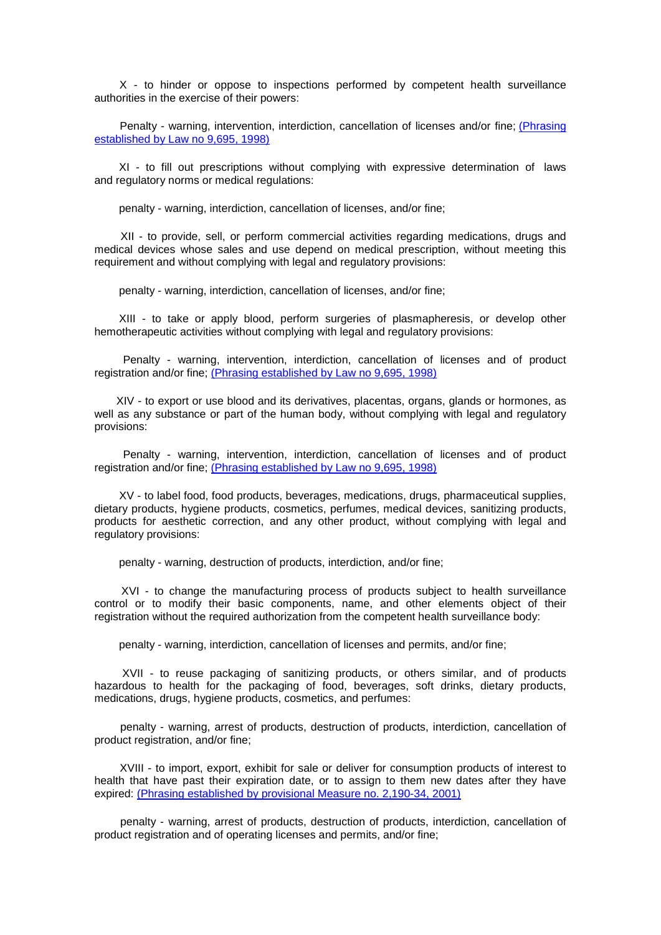X - to hinder or oppose to inspections performed by competent health surveillance authorities in the exercise of their powers:

 Penalty - warning, intervention, interdiction, cancellation of licenses and/or fine; [\(Phrasing](http://www.planalto.gov.br/ccivil_03/leis/L9695.htm%23art10x)  [established by Law no 9,695, 1998\)](http://www.planalto.gov.br/ccivil_03/leis/L9695.htm%23art10x)

 XI - to fill out prescriptions without complying with expressive determination of laws and regulatory norms or medical regulations:

penalty - warning, interdiction, cancellation of licenses, and/or fine;

 XII - to provide, sell, or perform commercial activities regarding medications, drugs and medical devices whose sales and use depend on medical prescription, without meeting this requirement and without complying with legal and regulatory provisions:

penalty - warning, interdiction, cancellation of licenses, and/or fine;

 XIII - to take or apply blood, perform surgeries of plasmapheresis, or develop other hemotherapeutic activities without complying with legal and regulatory provisions:

 Penalty - warning, intervention, interdiction, cancellation of licenses and of product registration and/or fine; [\(Phrasing established by Law no 9,695, 1998\)](http://www.planalto.gov.br/ccivil_03/leis/L9695.htm%23art10xiii)

 XIV - to export or use blood and its derivatives, placentas, organs, glands or hormones, as well as any substance or part of the human body, without complying with legal and regulatory provisions:

 Penalty - warning, intervention, interdiction, cancellation of licenses and of product registration and/or fine; [\(Phrasing established by Law no 9,695, 1998\)](http://www.planalto.gov.br/ccivil_03/leis/L9695.htm%23art10xiv)

 XV - to label food, food products, beverages, medications, drugs, pharmaceutical supplies, dietary products, hygiene products, cosmetics, perfumes, medical devices, sanitizing products, products for aesthetic correction, and any other product, without complying with legal and regulatory provisions:

penalty - warning, destruction of products, interdiction, and/or fine;

 XVI - to change the manufacturing process of products subject to health surveillance control or to modify their basic components, name, and other elements object of their registration without the required authorization from the competent health surveillance body:

penalty - warning, interdiction, cancellation of licenses and permits, and/or fine;

 XVII - to reuse packaging of sanitizing products, or others similar, and of products hazardous to health for the packaging of food, beverages, soft drinks, dietary products, medications, drugs, hygiene products, cosmetics, and perfumes:

 penalty - warning, arrest of products, destruction of products, interdiction, cancellation of product registration, and/or fine;

 XVIII - to import, export, exhibit for sale or deliver for consumption products of interest to health that have past their expiration date, or to assign to them new dates after they have expired: [\(Phrasing established by provisional Measure no. 2,190-34, 2001\)](http://www.planalto.gov.br/ccivil_03/MPV/2190-34.htm%23art12)

 penalty - warning, arrest of products, destruction of products, interdiction, cancellation of product registration and of operating licenses and permits, and/or fine;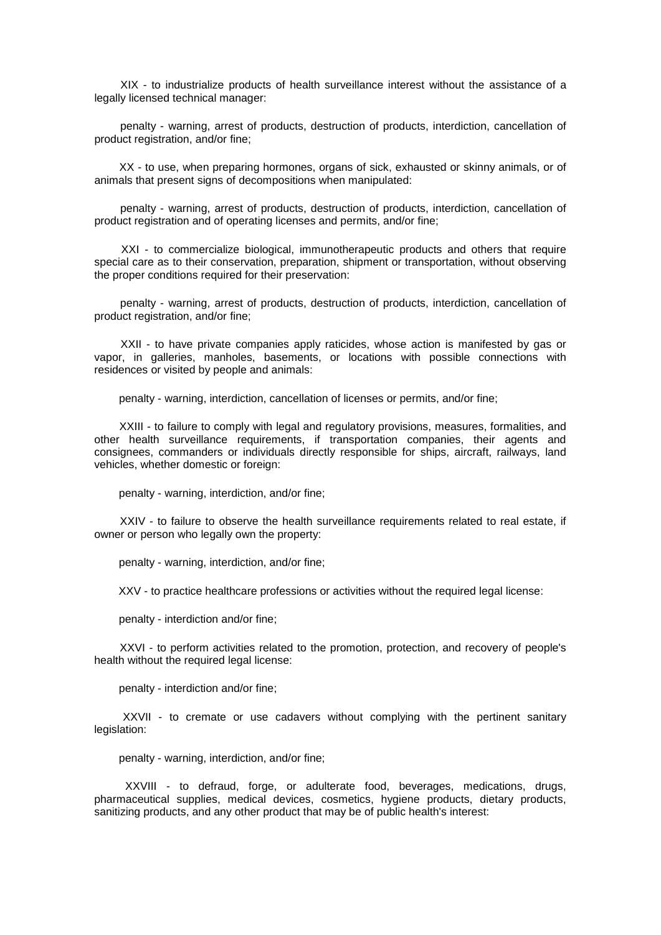XIX - to industrialize products of health surveillance interest without the assistance of a legally licensed technical manager:

 penalty - warning, arrest of products, destruction of products, interdiction, cancellation of product registration, and/or fine;

 XX - to use, when preparing hormones, organs of sick, exhausted or skinny animals, or of animals that present signs of decompositions when manipulated:

 penalty - warning, arrest of products, destruction of products, interdiction, cancellation of product registration and of operating licenses and permits, and/or fine;

 XXI - to commercialize biological, immunotherapeutic products and others that require special care as to their conservation, preparation, shipment or transportation, without observing the proper conditions required for their preservation:

 penalty - warning, arrest of products, destruction of products, interdiction, cancellation of product registration, and/or fine;

 XXII - to have private companies apply raticides, whose action is manifested by gas or vapor, in galleries, manholes, basements, or locations with possible connections with residences or visited by people and animals:

penalty - warning, interdiction, cancellation of licenses or permits, and/or fine;

 XXIII - to failure to comply with legal and regulatory provisions, measures, formalities, and other health surveillance requirements, if transportation companies, their agents and consignees, commanders or individuals directly responsible for ships, aircraft, railways, land vehicles, whether domestic or foreign:

penalty - warning, interdiction, and/or fine;

 XXIV - to failure to observe the health surveillance requirements related to real estate, if owner or person who legally own the property:

penalty - warning, interdiction, and/or fine;

XXV - to practice healthcare professions or activities without the required legal license:

penalty - interdiction and/or fine;

 XXVI - to perform activities related to the promotion, protection, and recovery of people's health without the required legal license:

penalty - interdiction and/or fine;

 XXVII - to cremate or use cadavers without complying with the pertinent sanitary legislation:

penalty - warning, interdiction, and/or fine;

 XXVIII - to defraud, forge, or adulterate food, beverages, medications, drugs, pharmaceutical supplies, medical devices, cosmetics, hygiene products, dietary products, sanitizing products, and any other product that may be of public health's interest: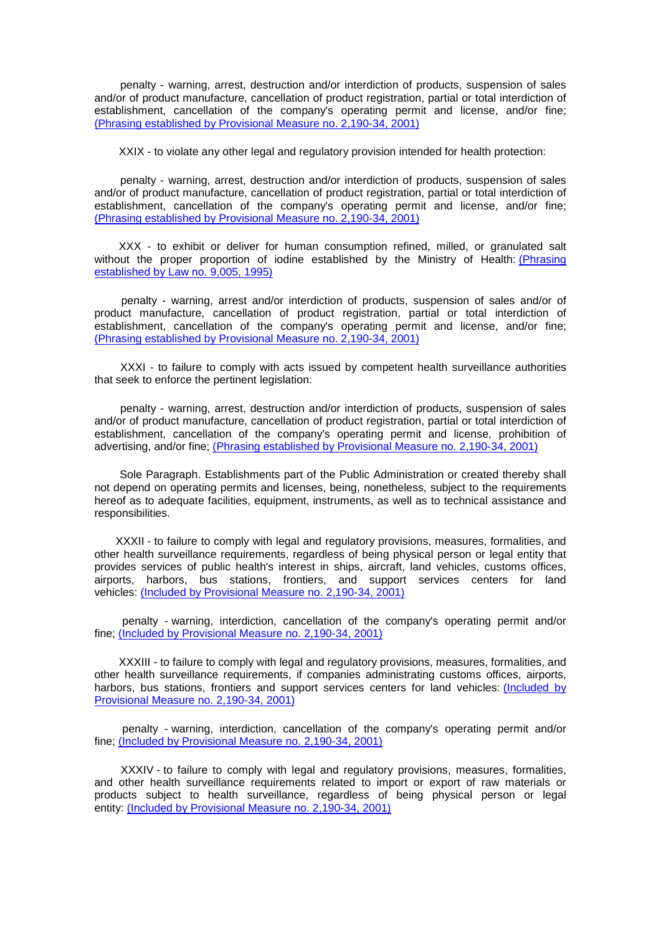penalty - warning, arrest, destruction and/or interdiction of products, suspension of sales and/or of product manufacture, cancellation of product registration, partial or total interdiction of establishment, cancellation of the company's operating permit and license, and/or fine; [\(Phrasing established by Provisional Measure no. 2,190-34, 2001\)](http://www.planalto.gov.br/ccivil_03/MPV/2190-34.htm%23art12)

XXIX - to violate any other legal and regulatory provision intended for health protection:

 penalty - warning, arrest, destruction and/or interdiction of products, suspension of sales and/or of product manufacture, cancellation of product registration, partial or total interdiction of establishment, cancellation of the company's operating permit and license, and/or fine; [\(Phrasing established by Provisional Measure no. 2,190-34, 2001\)](http://www.planalto.gov.br/ccivil_03/MPV/2190-34.htm%23art12)

 XXX - to exhibit or deliver for human consumption refined, milled, or granulated salt without the proper proportion of iodine established by the Ministry of Health (Phrasing [established by Law no. 9,005, 1995\)](http://www.planalto.gov.br/ccivil_03/leis/L9005.htm%23art2)

 penalty - warning, arrest and/or interdiction of products, suspension of sales and/or of product manufacture, cancellation of product registration, partial or total interdiction of establishment, cancellation of the company's operating permit and license, and/or fine; [\(Phrasing established by Provisional Measure no. 2,190-34, 2001\)](http://www.planalto.gov.br/ccivil_03/MPV/2190-34.htm%23art12)

 XXXI - to failure to comply with acts issued by competent health surveillance authorities that seek to enforce the pertinent legislation:

 penalty - warning, arrest, destruction and/or interdiction of products, suspension of sales and/or of product manufacture, cancellation of product registration, partial or total interdiction of establishment, cancellation of the company's operating permit and license, prohibition of advertising, and/or fine; [\(Phrasing established by Provisional Measure no. 2,190-34, 2001\)](http://www.planalto.gov.br/ccivil_03/MPV/2190-34.htm%23art12)

 Sole Paragraph. Establishments part of the Public Administration or created thereby shall not depend on operating permits and licenses, being, nonetheless, subject to the requirements hereof as to adequate facilities, equipment, instruments, as well as to technical assistance and responsibilities.

XXXII - to failure to comply with legal and regulatory provisions, measures, formalities, and other health surveillance requirements, regardless of being physical person or legal entity that provides services of public health's interest in ships, aircraft, land vehicles, customs offices, airports, harbors, bus stations, frontiers, and support services centers for land vehicles: <u>[\(Included by Provisional Measure no. 2,190-34, 2001\)](http://www.planalto.gov.br/ccivil_03/MPV/2190-34.htm%23art12)</u>

 penalty - warning, interdiction, cancellation of the company's operating permit and/or fine; [\(Included by Provisional Measure no. 2,190-34, 2001\)](http://www.planalto.gov.br/ccivil_03/MPV/2190-34.htm%23art12)

 XXXIII - to failure to comply with legal and regulatory provisions, measures, formalities, and other health surveillance requirements, if companies administrating customs offices, airports, harbors, bus stations, frontiers and support services centers for land vehicles: (Included by [Provisional Measure no. 2,190-34, 2001\)](http://www.planalto.gov.br/ccivil_03/MPV/2190-34.htm%23art12)

 penalty - warning, interdiction, cancellation of the company's operating permit and/or fine; [\(Included by Provisional Measure no. 2,190-34, 2001\)](http://www.planalto.gov.br/ccivil_03/MPV/2190-34.htm%23art12)

 XXXIV - to failure to comply with legal and regulatory provisions, measures, formalities, and other health surveillance requirements related to import or export of raw materials or products subject to health surveillance, regardless of being physical person or legal entity: [\(Included by Provisional Measure no. 2,190-34, 2001\)](http://www.planalto.gov.br/ccivil_03/MPV/2190-34.htm%23art12)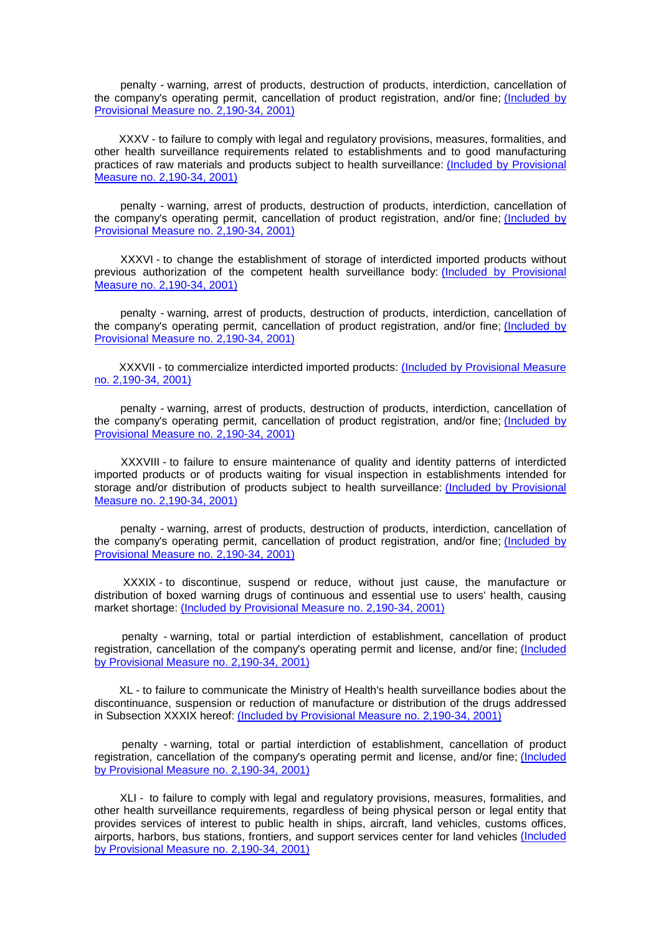penalty - warning, arrest of products, destruction of products, interdiction, cancellation of the company's operating permit, cancellation of product registration, and/or fine; [\(Included by](http://www.planalto.gov.br/ccivil_03/MPV/2190-34.htm%23art12)  [Provisional Measure no. 2,190-34, 2001\)](http://www.planalto.gov.br/ccivil_03/MPV/2190-34.htm%23art12)

 XXXV - to failure to comply with legal and regulatory provisions, measures, formalities, and other health surveillance requirements related to establishments and to good manufacturing practices of raw materials and products subject to health surveillance: [\(Included by Provisional](http://www.planalto.gov.br/ccivil_03/MPV/2190-34.htm%23art12)  [Measure no. 2,190-34, 2001\)](http://www.planalto.gov.br/ccivil_03/MPV/2190-34.htm%23art12)

 penalty - warning, arrest of products, destruction of products, interdiction, cancellation of the company's operating permit, cancellation of product registration, and/or fine; [\(Included by](http://www.planalto.gov.br/ccivil_03/MPV/2190-34.htm%23art12)  [Provisional Measure no. 2,190-34, 2001\)](http://www.planalto.gov.br/ccivil_03/MPV/2190-34.htm%23art12)

 XXXVI - to change the establishment of storage of interdicted imported products without previous authorization of the competent health surveillance body: [\(Included by Provisional](http://www.planalto.gov.br/ccivil_03/MPV/2190-34.htm%23art12)  [Measure no. 2,190-34, 2001\)](http://www.planalto.gov.br/ccivil_03/MPV/2190-34.htm%23art12)

 penalty - warning, arrest of products, destruction of products, interdiction, cancellation of the company's operating permit, cancellation of product registration, and/or fine; [\(Included by](http://www.planalto.gov.br/ccivil_03/MPV/2190-34.htm%23art12)  [Provisional Measure no. 2,190-34, 2001\)](http://www.planalto.gov.br/ccivil_03/MPV/2190-34.htm%23art12)

 XXXVII - to commercialize interdicted imported products: [\(Included by Provisional Measure](http://www.planalto.gov.br/ccivil_03/MPV/2190-34.htm%23art12)  [no. 2,190-34, 2001\)](http://www.planalto.gov.br/ccivil_03/MPV/2190-34.htm%23art12)

 penalty - warning, arrest of products, destruction of products, interdiction, cancellation of the company's operating permit, cancellation of product registration, and/or fine; [\(Included by](http://www.planalto.gov.br/ccivil_03/MPV/2190-34.htm%23art12)  [Provisional Measure no. 2,190-34, 2001\)](http://www.planalto.gov.br/ccivil_03/MPV/2190-34.htm%23art12)

 XXXVIII - to failure to ensure maintenance of quality and identity patterns of interdicted imported products or of products waiting for visual inspection in establishments intended for storage and/or distribution of products subject to health surveillance: [\(Included by Provisional](http://www.planalto.gov.br/ccivil_03/MPV/2190-34.htm%23art12)  [Measure no. 2,190-34, 2001\)](http://www.planalto.gov.br/ccivil_03/MPV/2190-34.htm%23art12)

 penalty - warning, arrest of products, destruction of products, interdiction, cancellation of the company's operating permit, cancellation of product registration, and/or fine; [\(Included by](http://www.planalto.gov.br/ccivil_03/MPV/2190-34.htm%23art12)  [Provisional Measure no. 2,190-34, 2001\)](http://www.planalto.gov.br/ccivil_03/MPV/2190-34.htm%23art12)

 XXXIX - to discontinue, suspend or reduce, without just cause, the manufacture or distribution of boxed warning drugs of continuous and essential use to users' health, causing market shortage: [\(Included by Provisional Measure no. 2,190-34, 2001\)](http://www.planalto.gov.br/ccivil_03/MPV/2190-34.htm%23art12)

 penalty - warning, total or partial interdiction of establishment, cancellation of product registration, cancellation of the company's operating permit and license, and/or fine; [\(Included](http://www.planalto.gov.br/ccivil_03/MPV/2190-34.htm%23art12)  [by Provisional Measure no. 2,190-34, 2001\)](http://www.planalto.gov.br/ccivil_03/MPV/2190-34.htm%23art12)

 XL - to failure to communicate the Ministry of Health's health surveillance bodies about the discontinuance, suspension or reduction of manufacture or distribution of the drugs addressed in Subsection XXXIX hereof: [\(Included by Provisional Measure no. 2,190-34, 2001\)](http://www.planalto.gov.br/ccivil_03/MPV/2190-34.htm%23art12)

 penalty - warning, total or partial interdiction of establishment, cancellation of product registration, cancellation of the company's operating permit and license, and/or fine; [\(Included](http://www.planalto.gov.br/ccivil_03/MPV/2190-34.htm%23art12)  [by Provisional Measure no. 2,190-34, 2001\)](http://www.planalto.gov.br/ccivil_03/MPV/2190-34.htm%23art12)

 XLI - to failure to comply with legal and regulatory provisions, measures, formalities, and other health surveillance requirements, regardless of being physical person or legal entity that provides services of interest to public health in ships, aircraft, land vehicles, customs offices, airports, harbors, bus stations, frontiers, and support services center for land vehicles [\(Included](http://www.planalto.gov.br/ccivil_03/MPV/2190-34.htm%23art12)  [by Provisional Measure no. 2,190-34, 2001\)](http://www.planalto.gov.br/ccivil_03/MPV/2190-34.htm%23art12)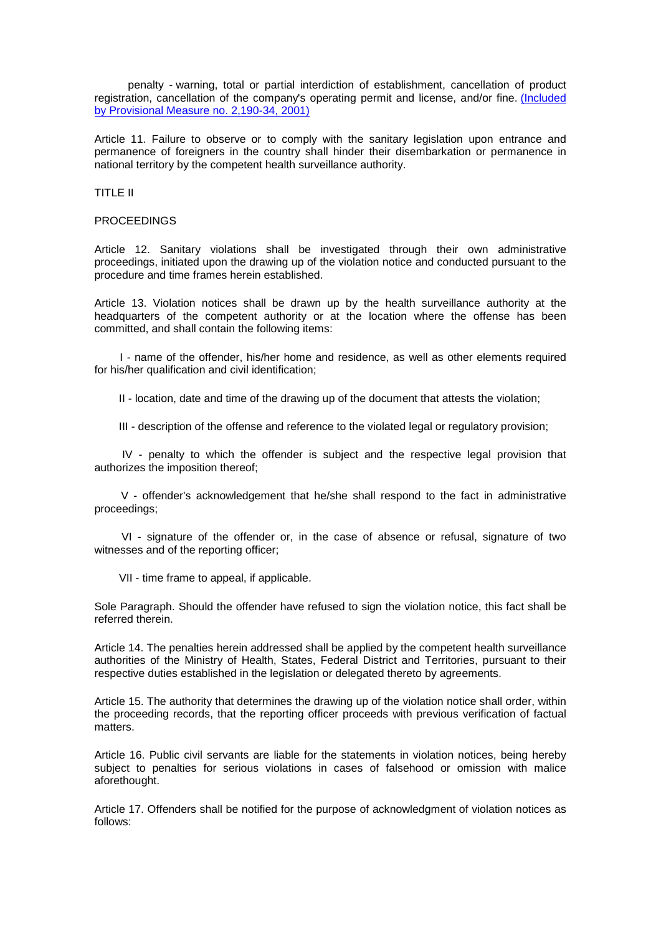penalty - warning, total or partial interdiction of establishment, cancellation of product registration, cancellation of the company's operating permit and license, and/or fine. [\(Included](http://www.planalto.gov.br/ccivil_03/MPV/2190-34.htm%23art12)  [by Provisional Measure no. 2,190-34, 2001\)](http://www.planalto.gov.br/ccivil_03/MPV/2190-34.htm%23art12)

Article 11. Failure to observe or to comply with the sanitary legislation upon entrance and permanence of foreigners in the country shall hinder their disembarkation or permanence in national territory by the competent health surveillance authority.

## TITLE II

## **PROCEEDINGS**

Article 12. Sanitary violations shall be investigated through their own administrative proceedings, initiated upon the drawing up of the violation notice and conducted pursuant to the procedure and time frames herein established.

Article 13. Violation notices shall be drawn up by the health surveillance authority at the headquarters of the competent authority or at the location where the offense has been committed, and shall contain the following items:

 I - name of the offender, his/her home and residence, as well as other elements required for his/her qualification and civil identification;

II - location, date and time of the drawing up of the document that attests the violation;

III - description of the offense and reference to the violated legal or regulatory provision;

 IV - penalty to which the offender is subject and the respective legal provision that authorizes the imposition thereof;

 V - offender's acknowledgement that he/she shall respond to the fact in administrative proceedings;

 VI - signature of the offender or, in the case of absence or refusal, signature of two witnesses and of the reporting officer;

VII - time frame to appeal, if applicable.

Sole Paragraph. Should the offender have refused to sign the violation notice, this fact shall be referred therein.

Article 14. The penalties herein addressed shall be applied by the competent health surveillance authorities of the Ministry of Health, States, Federal District and Territories, pursuant to their respective duties established in the legislation or delegated thereto by agreements.

Article 15. The authority that determines the drawing up of the violation notice shall order, within the proceeding records, that the reporting officer proceeds with previous verification of factual matters.

Article 16. Public civil servants are liable for the statements in violation notices, being hereby subject to penalties for serious violations in cases of falsehood or omission with malice aforethought.

Article 17. Offenders shall be notified for the purpose of acknowledgment of violation notices as follows: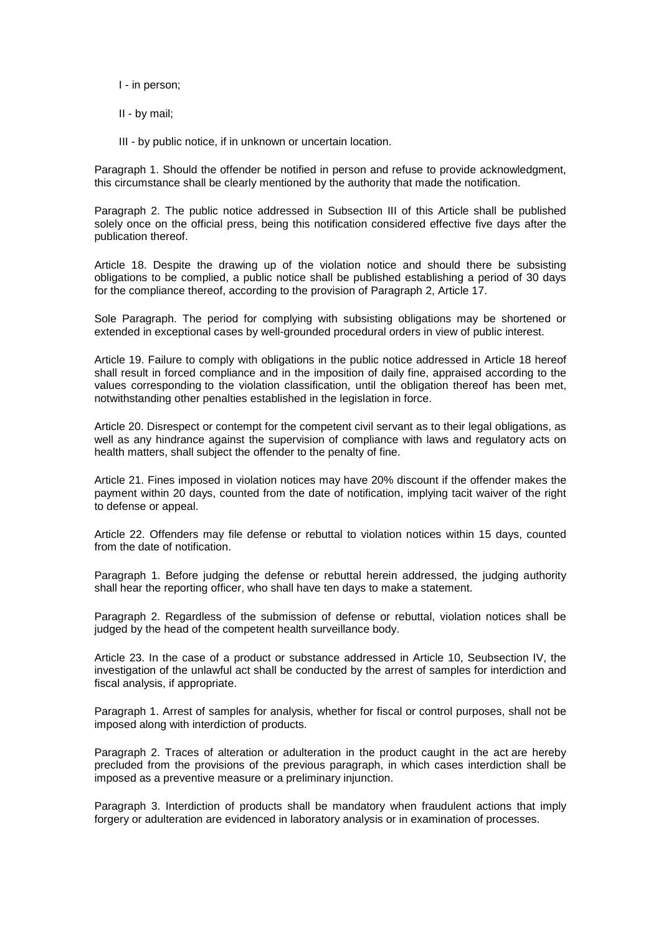I - in person;

II - by mail;

III - by public notice, if in unknown or uncertain location.

Paragraph 1. Should the offender be notified in person and refuse to provide acknowledgment, this circumstance shall be clearly mentioned by the authority that made the notification.

Paragraph 2. The public notice addressed in Subsection III of this Article shall be published solely once on the official press, being this notification considered effective five days after the publication thereof.

Article 18. Despite the drawing up of the violation notice and should there be subsisting obligations to be complied, a public notice shall be published establishing a period of 30 days for the compliance thereof, according to the provision of Paragraph 2, Article 17.

Sole Paragraph. The period for complying with subsisting obligations may be shortened or extended in exceptional cases by well-grounded procedural orders in view of public interest.

Article 19. Failure to comply with obligations in the public notice addressed in Article 18 hereof shall result in forced compliance and in the imposition of daily fine, appraised according to the values corresponding to the violation classification, until the obligation thereof has been met, notwithstanding other penalties established in the legislation in force.

Article 20. Disrespect or contempt for the competent civil servant as to their legal obligations, as well as any hindrance against the supervision of compliance with laws and regulatory acts on health matters, shall subject the offender to the penalty of fine.

Article 21. Fines imposed in violation notices may have 20% discount if the offender makes the payment within 20 days, counted from the date of notification, implying tacit waiver of the right to defense or appeal.

Article 22. Offenders may file defense or rebuttal to violation notices within 15 days, counted from the date of notification.

Paragraph 1. Before judging the defense or rebuttal herein addressed, the judging authority shall hear the reporting officer, who shall have ten days to make a statement.

Paragraph 2. Regardless of the submission of defense or rebuttal, violation notices shall be judged by the head of the competent health surveillance body.

Article 23. In the case of a product or substance addressed in Article 10, Seubsection IV, the investigation of the unlawful act shall be conducted by the arrest of samples for interdiction and fiscal analysis, if appropriate.

Paragraph 1. Arrest of samples for analysis, whether for fiscal or control purposes, shall not be imposed along with interdiction of products.

Paragraph 2. Traces of alteration or adulteration in the product caught in the act are hereby precluded from the provisions of the previous paragraph, in which cases interdiction shall be imposed as a preventive measure or a preliminary injunction.

Paragraph 3. Interdiction of products shall be mandatory when fraudulent actions that imply forgery or adulteration are evidenced in laboratory analysis or in examination of processes.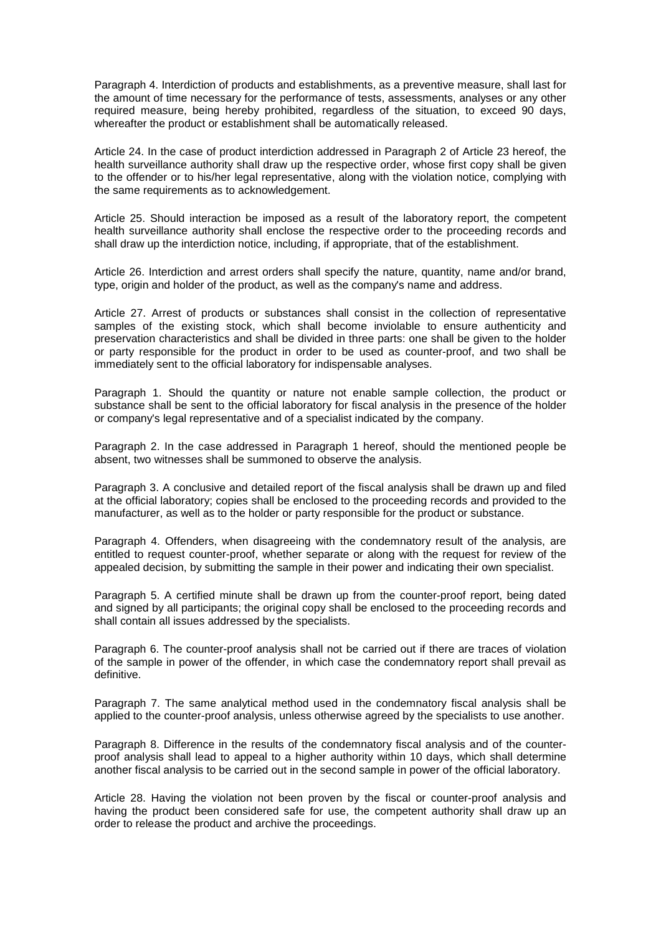Paragraph 4. Interdiction of products and establishments, as a preventive measure, shall last for the amount of time necessary for the performance of tests, assessments, analyses or any other required measure, being hereby prohibited, regardless of the situation, to exceed 90 days, whereafter the product or establishment shall be automatically released.

Article 24. In the case of product interdiction addressed in Paragraph 2 of Article 23 hereof, the health surveillance authority shall draw up the respective order, whose first copy shall be given to the offender or to his/her legal representative, along with the violation notice, complying with the same requirements as to acknowledgement.

Article 25. Should interaction be imposed as a result of the laboratory report, the competent health surveillance authority shall enclose the respective order to the proceeding records and shall draw up the interdiction notice, including, if appropriate, that of the establishment.

Article 26. Interdiction and arrest orders shall specify the nature, quantity, name and/or brand, type, origin and holder of the product, as well as the company's name and address.

Article 27. Arrest of products or substances shall consist in the collection of representative samples of the existing stock, which shall become inviolable to ensure authenticity and preservation characteristics and shall be divided in three parts: one shall be given to the holder or party responsible for the product in order to be used as counter-proof, and two shall be immediately sent to the official laboratory for indispensable analyses.

Paragraph 1. Should the quantity or nature not enable sample collection, the product or substance shall be sent to the official laboratory for fiscal analysis in the presence of the holder or company's legal representative and of a specialist indicated by the company.

Paragraph 2. In the case addressed in Paragraph 1 hereof, should the mentioned people be absent, two witnesses shall be summoned to observe the analysis.

Paragraph 3. A conclusive and detailed report of the fiscal analysis shall be drawn up and filed at the official laboratory; copies shall be enclosed to the proceeding records and provided to the manufacturer, as well as to the holder or party responsible for the product or substance.

Paragraph 4. Offenders, when disagreeing with the condemnatory result of the analysis, are entitled to request counter-proof, whether separate or along with the request for review of the appealed decision, by submitting the sample in their power and indicating their own specialist.

Paragraph 5. A certified minute shall be drawn up from the counter-proof report, being dated and signed by all participants; the original copy shall be enclosed to the proceeding records and shall contain all issues addressed by the specialists.

Paragraph 6. The counter-proof analysis shall not be carried out if there are traces of violation of the sample in power of the offender, in which case the condemnatory report shall prevail as definitive.

Paragraph 7. The same analytical method used in the condemnatory fiscal analysis shall be applied to the counter-proof analysis, unless otherwise agreed by the specialists to use another.

Paragraph 8. Difference in the results of the condemnatory fiscal analysis and of the counterproof analysis shall lead to appeal to a higher authority within 10 days, which shall determine another fiscal analysis to be carried out in the second sample in power of the official laboratory.

Article 28. Having the violation not been proven by the fiscal or counter-proof analysis and having the product been considered safe for use, the competent authority shall draw up an order to release the product and archive the proceedings.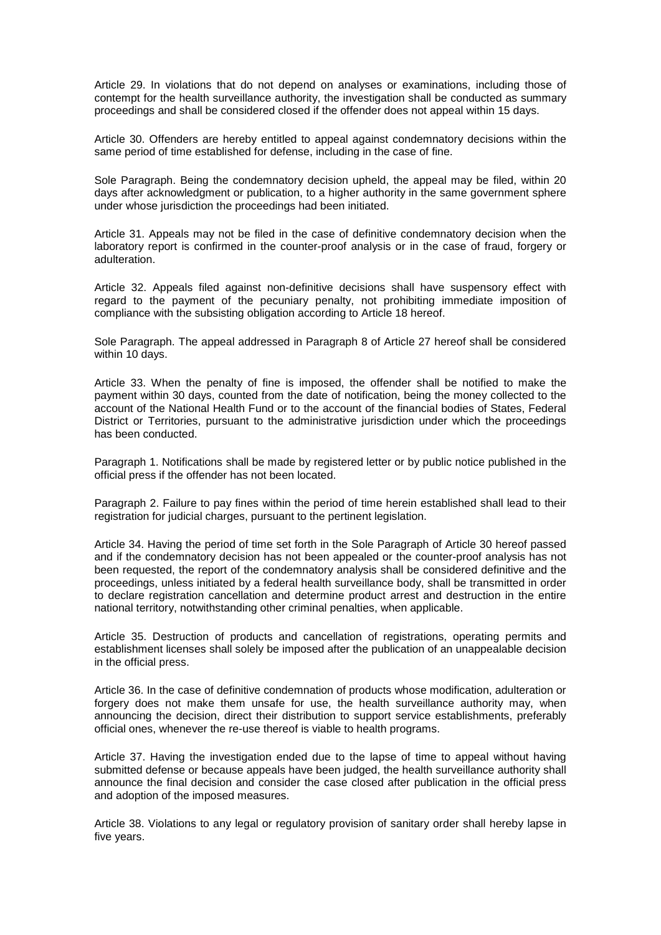Article 29. In violations that do not depend on analyses or examinations, including those of contempt for the health surveillance authority, the investigation shall be conducted as summary proceedings and shall be considered closed if the offender does not appeal within 15 days.

Article 30. Offenders are hereby entitled to appeal against condemnatory decisions within the same period of time established for defense, including in the case of fine.

Sole Paragraph. Being the condemnatory decision upheld, the appeal may be filed, within 20 days after acknowledgment or publication, to a higher authority in the same government sphere under whose jurisdiction the proceedings had been initiated.

Article 31. Appeals may not be filed in the case of definitive condemnatory decision when the laboratory report is confirmed in the counter-proof analysis or in the case of fraud, forgery or adulteration.

Article 32. Appeals filed against non-definitive decisions shall have suspensory effect with regard to the payment of the pecuniary penalty, not prohibiting immediate imposition of compliance with the subsisting obligation according to Article 18 hereof.

Sole Paragraph. The appeal addressed in Paragraph 8 of Article 27 hereof shall be considered within 10 days.

Article 33. When the penalty of fine is imposed, the offender shall be notified to make the payment within 30 days, counted from the date of notification, being the money collected to the account of the National Health Fund or to the account of the financial bodies of States, Federal District or Territories, pursuant to the administrative jurisdiction under which the proceedings has been conducted.

Paragraph 1. Notifications shall be made by registered letter or by public notice published in the official press if the offender has not been located.

Paragraph 2. Failure to pay fines within the period of time herein established shall lead to their registration for judicial charges, pursuant to the pertinent legislation.

Article 34. Having the period of time set forth in the Sole Paragraph of Article 30 hereof passed and if the condemnatory decision has not been appealed or the counter-proof analysis has not been requested, the report of the condemnatory analysis shall be considered definitive and the proceedings, unless initiated by a federal health surveillance body, shall be transmitted in order to declare registration cancellation and determine product arrest and destruction in the entire national territory, notwithstanding other criminal penalties, when applicable.

Article 35. Destruction of products and cancellation of registrations, operating permits and establishment licenses shall solely be imposed after the publication of an unappealable decision in the official press.

Article 36. In the case of definitive condemnation of products whose modification, adulteration or forgery does not make them unsafe for use, the health surveillance authority may, when announcing the decision, direct their distribution to support service establishments, preferably official ones, whenever the re-use thereof is viable to health programs.

Article 37. Having the investigation ended due to the lapse of time to appeal without having submitted defense or because appeals have been judged, the health surveillance authority shall announce the final decision and consider the case closed after publication in the official press and adoption of the imposed measures.

Article 38. Violations to any legal or regulatory provision of sanitary order shall hereby lapse in five years.